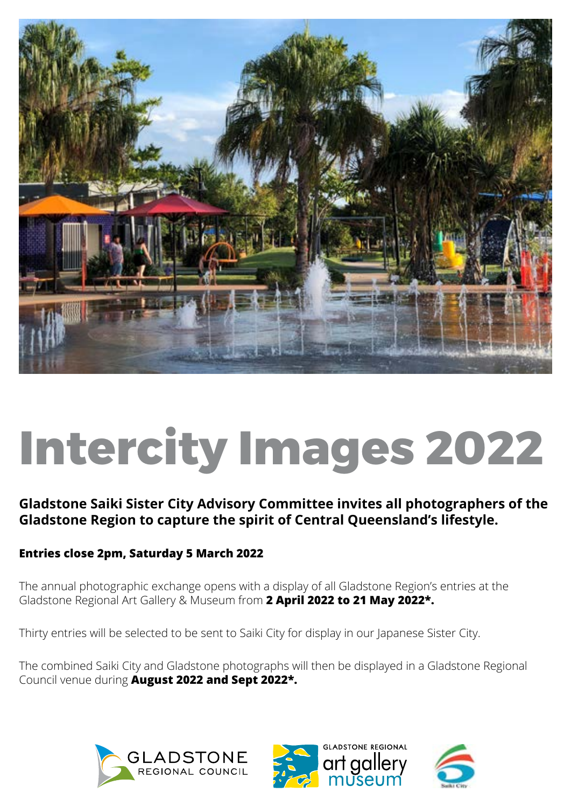

# **Intercity Images 2022**

# **Gladstone Saiki Sister City Advisory Committee invites all photographers of the Gladstone Region to capture the spirit of Central Queensland's lifestyle.**

# **Entries close 2pm, Saturday 5 March 2022**

The annual photographic exchange opens with a display of all Gladstone Region's entries at the Gladstone Regional Art Gallery & Museum from **2 April 2022 to 21 May 2022\*.**

Thirty entries will be selected to be sent to Saiki City for display in our Japanese Sister City.

The combined Saiki City and Gladstone photographs will then be displayed in a Gladstone Regional Council venue during **August 2022 and Sept 2022\*.**





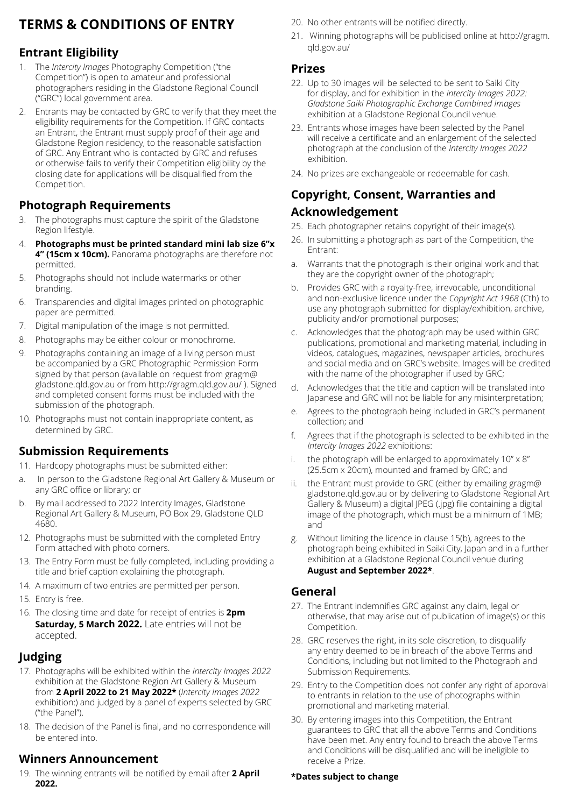# **TERMS & CONDITIONS OF ENTRY**

## **Entrant Eligibility**

- 1. The *Intercity Images* Photography Competition ("the Competition") is open to amateur and professional photographers residing in the Gladstone Regional Council ("GRC") local government area.
- 2. Entrants may be contacted by GRC to verify that they meet the eligibility requirements for the Competition. If GRC contacts an Entrant, the Entrant must supply proof of their age and Gladstone Region residency, to the reasonable satisfaction of GRC. Any Entrant who is contacted by GRC and refuses or otherwise fails to verify their Competition eligibility by the closing date for applications will be disqualified from the Competition.

## **Photograph Requirements**

- 3. The photographs must capture the spirit of the Gladstone Region lifestyle.
- 4. **Photographs must be printed standard mini lab size 6"x 4" (15cm x 10cm).** Panorama photographs are therefore not permitted.
- 5. Photographs should not include watermarks or other branding.
- 6. Transparencies and digital images printed on photographic paper are permitted.
- 7. Digital manipulation of the image is not permitted.
- 8. Photographs may be either colour or monochrome.
- 9. Photographs containing an image of a living person must be accompanied by a GRC Photographic Permission Form signed by that person (available on request from gragm@ gladstone.qld.gov.au or from http://gragm.qld.gov.au/ ). Signed and completed consent forms must be included with the submission of the photograph.
- 10. Photographs must not contain inappropriate content, as determined by GRC.

## **Submission Requirements**

- 11. Hardcopy photographs must be submitted either:
- a. In person to the Gladstone Regional Art Gallery & Museum or any GRC office or library; or
- b. By mail addressed to 2022 Intercity Images, Gladstone Regional Art Gallery & Museum, PO Box 29, Gladstone QLD 4680.
- 12. Photographs must be submitted with the completed Entry Form attached with photo corners.
- 13. The Entry Form must be fully completed, including providing a title and brief caption explaining the photograph.
- 14. A maximum of two entries are permitted per person.
- 15. Entry is free.
- 16. The closing time and date for receipt of entries is **2pm Saturday, 5 March 2022.** Late entries will not be accepted.

### **Judging**

- 17. Photographs will be exhibited within the *Intercity Images 2022* exhibition at the Gladstone Region Art Gallery & Museum from **2 April 2022 to 21 May 2022\*** (*Intercity Images 2022* exhibition:) and judged by a panel of experts selected by GRC ("the Panel").
- 18. The decision of the Panel is final, and no correspondence will be entered into.

### **Winners Announcement**

19. The winning entrants will be notified by email after **2 April 2022.** 

- 20. No other entrants will be notified directly.
- 21. Winning photographs will be publicised online at http://gragm. qld.gov.au/

#### **Prizes**

- 22. Up to 30 images will be selected to be sent to Saiki City for display, and for exhibition in the *Intercity Images 2022: Gladstone Saiki Photographic Exchange Combined Images* exhibition at a Gladstone Regional Council venue.
- 23. Entrants whose images have been selected by the Panel will receive a certificate and an enlargement of the selected photograph at the conclusion of the *Intercity Images 2022* exhibition.
- 24. No prizes are exchangeable or redeemable for cash.

## **Copyright, Consent, Warranties and Acknowledgement**

- 25. Each photographer retains copyright of their image(s).
- 26. In submitting a photograph as part of the Competition, the Entrant:
- a. Warrants that the photograph is their original work and that they are the copyright owner of the photograph;
- b. Provides GRC with a royalty-free, irrevocable, unconditional and non-exclusive licence under the *Copyright Act 1968* (Cth) to use any photograph submitted for display/exhibition, archive, publicity and/or promotional purposes;
- Acknowledges that the photograph may be used within GRC publications, promotional and marketing material, including in videos, catalogues, magazines, newspaper articles, brochures and social media and on GRC's website. Images will be credited with the name of the photographer if used by GRC;
- d. Acknowledges that the title and caption will be translated into Japanese and GRC will not be liable for any misinterpretation;
- e. Agrees to the photograph being included in GRC's permanent collection; and
- f. Agrees that if the photograph is selected to be exhibited in the *Intercity Images 2022* exhibitions:
- i. the photograph will be enlarged to approximately  $10'' \times 8''$ (25.5cm x 20cm), mounted and framed by GRC; and
- ii. the Entrant must provide to GRC (either by emailing gragm@ gladstone.qld.gov.au or by delivering to Gladstone Regional Art Gallery & Museum) a digital JPEG (.jpg) file containing a digital image of the photograph, which must be a minimum of 1MB; and
- g. Without limiting the licence in clause 15(b), agrees to the photograph being exhibited in Saiki City, Japan and in a further exhibition at a Gladstone Regional Council venue during **August and September 2022\***.

#### **General**

- 27. The Entrant indemnifies GRC against any claim, legal or otherwise, that may arise out of publication of image(s) or this Competition.
- 28. GRC reserves the right, in its sole discretion, to disqualify any entry deemed to be in breach of the above Terms and Conditions, including but not limited to the Photograph and Submission Requirements.
- 29. Entry to the Competition does not confer any right of approval to entrants in relation to the use of photographs within promotional and marketing material.
- 30. By entering images into this Competition, the Entrant guarantees to GRC that all the above Terms and Conditions have been met. Any entry found to breach the above Terms and Conditions will be disqualified and will be ineligible to receive a Prize.

#### **\*Dates subject to change**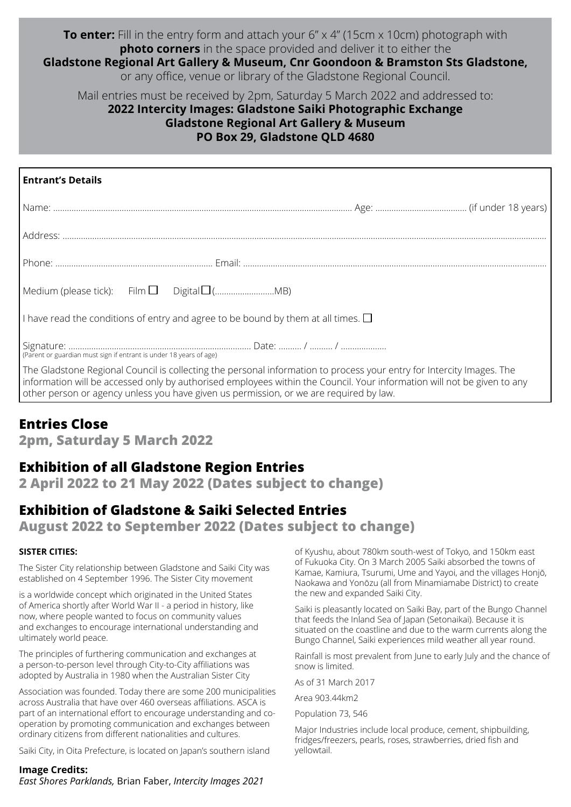#### **To enter:** Fill in the entry form and attach your 6" x 4" (15cm x 10cm) photograph with **photo corners** in the space provided and deliver it to either the

**Gladstone Regional Art Gallery & Museum, Cnr Goondoon & Bramston Sts Gladstone,** or any office, venue or library of the Gladstone Regional Council.

Mail entries must be received by 2pm, Saturday 5 March 2022 and addressed to:

## **2022 Intercity Images: Gladstone Saiki Photographic Exchange Gladstone Regional Art Gallery & Museum PO Box 29, Gladstone QLD 4680**

| <b>Entrant's Details</b>                                                                                                                                                                                                                                                                                                                   |  |
|--------------------------------------------------------------------------------------------------------------------------------------------------------------------------------------------------------------------------------------------------------------------------------------------------------------------------------------------|--|
|                                                                                                                                                                                                                                                                                                                                            |  |
|                                                                                                                                                                                                                                                                                                                                            |  |
|                                                                                                                                                                                                                                                                                                                                            |  |
|                                                                                                                                                                                                                                                                                                                                            |  |
| I have read the conditions of entry and agree to be bound by them at all times. $\square$                                                                                                                                                                                                                                                  |  |
| (Parent or guardian must sign if entrant is under 18 years of age)                                                                                                                                                                                                                                                                         |  |
| The Gladstone Regional Council is collecting the personal information to process your entry for Intercity Images. The<br>information will be accessed only by authorised employees within the Council. Your information will not be given to any<br>other person or agency unless you have given us permission, or we are required by law. |  |

# **Entries Close**

**2pm, Saturday 5 March 2022** 

# **Exhibition of all Gladstone Region Entries**

**2 April 2022 to 21 May 2022 (Dates subject to change)**

# **Exhibition of Gladstone & Saiki Selected Entries**

**August 2022 to September 2022 (Dates subject to change)**

#### **SISTER CITIES:**

The Sister City relationship between Gladstone and Saiki City was established on 4 September 1996. The Sister City movement

is a worldwide concept which originated in the United States of America shortly after World War II - a period in history, like now, where people wanted to focus on community values and exchanges to encourage international understanding and ultimately world peace.

The principles of furthering communication and exchanges at a person-to-person level through City-to-City affiliations was adopted by Australia in 1980 when the Australian Sister City

Association was founded. Today there are some 200 municipalities across Australia that have over 460 overseas affiliations. ASCA is part of an international effort to encourage understanding and cooperation by promoting communication and exchanges between ordinary citizens from different nationalities and cultures.

Saiki City, in Oita Prefecture, is located on Japan's southern island

#### **Image Credits:**

*East Shores Parklands,* Brian Faber, *Intercity Images 2021*

of Kyushu, about 780km south-west of Tokyo, and 150km east of Fukuoka City. On 3 March 2005 Saiki absorbed the towns of Kamae, Kamiura, Tsurumi, Ume and Yayoi, and the villages Honjō, Naokawa and Yonōzu (all from Minamiamabe District) to create the new and expanded Saiki City.

Saiki is pleasantly located on Saiki Bay, part of the Bungo Channel that feeds the Inland Sea of Japan (Setonaikai). Because it is situated on the coastline and due to the warm currents along the Bungo Channel, Saiki experiences mild weather all year round.

Rainfall is most prevalent from June to early July and the chance of snow is limited.

As of 31 March 2017

Area 903.44km2

Population 73, 546

Major Industries include local produce, cement, shipbuilding, fridges/freezers, pearls, roses, strawberries, dried fish and yellowtail.